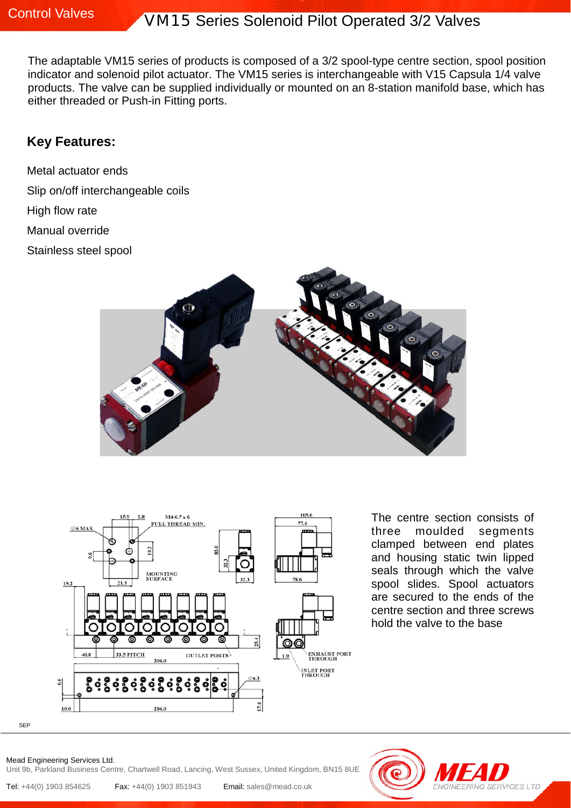# **Control Valves VM15** Series Solenoid Pilot Operated 3/2 Valves

The adaptable VM15 series of products is composed of a 3/2 spool-type centre section, spool position indicator and solenoid pilot actuator. The VM15 series is interchangeable with V15 Capsula 1/4 valve products. The valve can be supplied individually or mounted on an 8-station manifold base, which has either threaded or Push-in Fitting ports.

## **Key Features:**

Metal actuator ends Slip on/off interchangeable coils High flow rate Manual override Stainless steel spool





The centre section consists of three moulded segments clamped between end plates and housing static twin lipped seals through which the valve spool slides. Spool actuators are secured to the ends of the centre section and three screws hold the valve to the base

**FRVICES LTD** 

SEP

Mead Engineering Services Ltd.

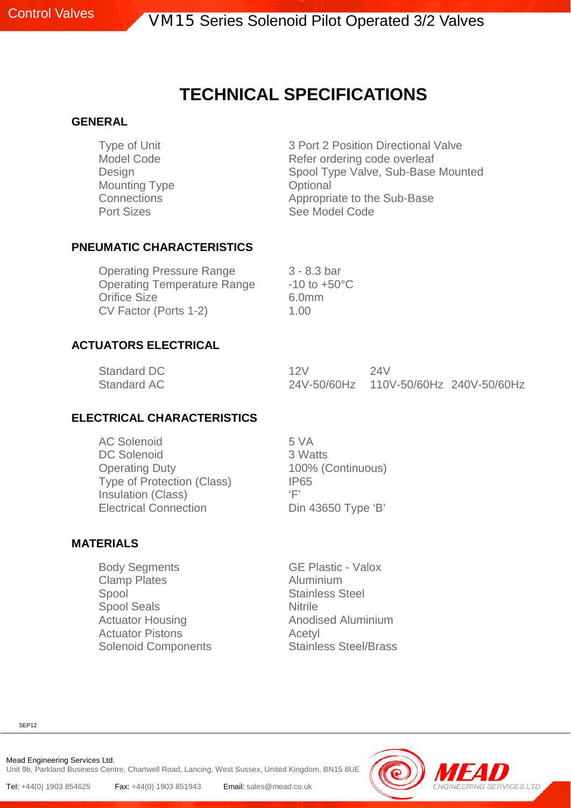## **TECHNICAL SPECIFICATIONS**

#### **GENERAL**

Mounting Type **Optional** 

Type of Unit 3 Port 2 Position Directional Valve Model Code **Refer ordering code overleaf** Design **Spool Type Valve, Sub-Base Mounted** Connections **Connections** Appropriate to the Sub-Base Port Sizes See Model Code

#### **PNEUMATIC CHARACTERISTICS**

Operating Pressure Range 3 - 8.3 bar Operating Temperature Range -10 to +50°C Orifice Size 6.0mm CV Factor (Ports 1-2) 1.00

#### **ACTUATORS ELECTRICAL**

| Standard DC | 12V | 24V                                     |  |
|-------------|-----|-----------------------------------------|--|
| Standard AC |     | 24V-50/60Hz  110V-50/60Hz  240V-50/60Hz |  |

### **ELECTRICAL CHARACTERISTICS**

| <b>AC Solenoid</b>                | 5 VA               |
|-----------------------------------|--------------------|
| <b>DC Solenoid</b>                | 3 Watts            |
| <b>Operating Duty</b>             | 100% (Continuous)  |
| <b>Type of Protection (Class)</b> | <b>IP65</b>        |
| Insulation (Class)                | $\sqrt[4]{\Box}$   |
| <b>Electrical Connection</b>      | Din 43650 Type 'B' |

### **MATERIALS**

Body Segments GE Plastic - Valox Clamp Plates Aluminium Spool Spool Stainless Steel Spool Seals Nitrile Actuator Housing **Anodised Aluminium** Actuator Pistons **Acetyl** Solenoid Components Stainless Steel/Brass